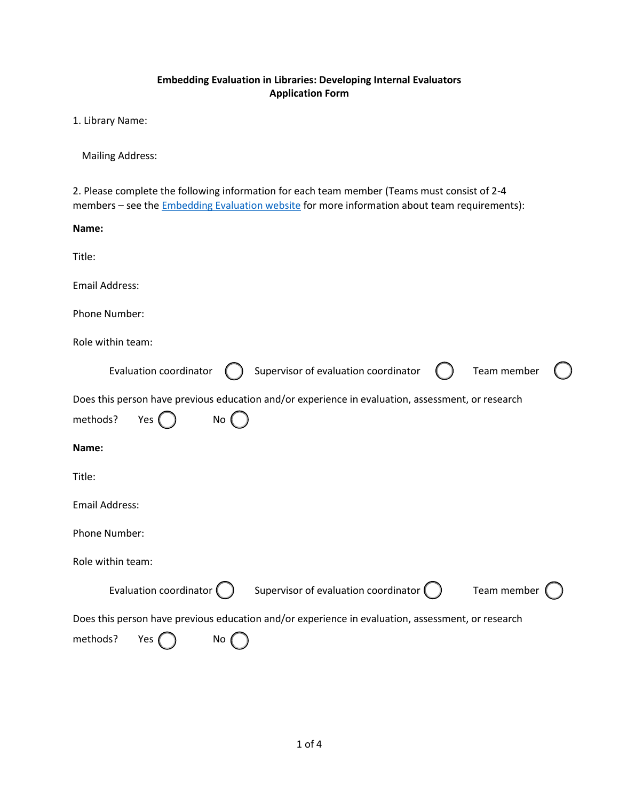## **Embedding Evaluation in Libraries: Developing Internal Evaluators Application Form**

1. Library Name:

Mailing Address:

2. Please complete the following information for each team member (Teams must consist of 2-4 members – see the **Embedding Evaluation website** for more information about team requirements):

| Name:                                                                                                                                     |  |  |
|-------------------------------------------------------------------------------------------------------------------------------------------|--|--|
| Title:                                                                                                                                    |  |  |
| <b>Email Address:</b>                                                                                                                     |  |  |
| Phone Number:                                                                                                                             |  |  |
| Role within team:                                                                                                                         |  |  |
| Supervisor of evaluation coordinator<br>Team member<br>Evaluation coordinator                                                             |  |  |
| Does this person have previous education and/or experience in evaluation, assessment, or research<br>methods?<br>Yes (<br>No <sub>0</sub> |  |  |
| Name:                                                                                                                                     |  |  |
| Title:                                                                                                                                    |  |  |
| <b>Email Address:</b>                                                                                                                     |  |  |
| Phone Number:                                                                                                                             |  |  |
| Role within team:                                                                                                                         |  |  |
| Evaluation coordinator (<br>Supervisor of evaluation coordinator $\big(\,\,\,\big)$<br>Team member                                        |  |  |
| Does this person have previous education and/or experience in evaluation, assessment, or research                                         |  |  |
| methods?<br>Yes (<br>No                                                                                                                   |  |  |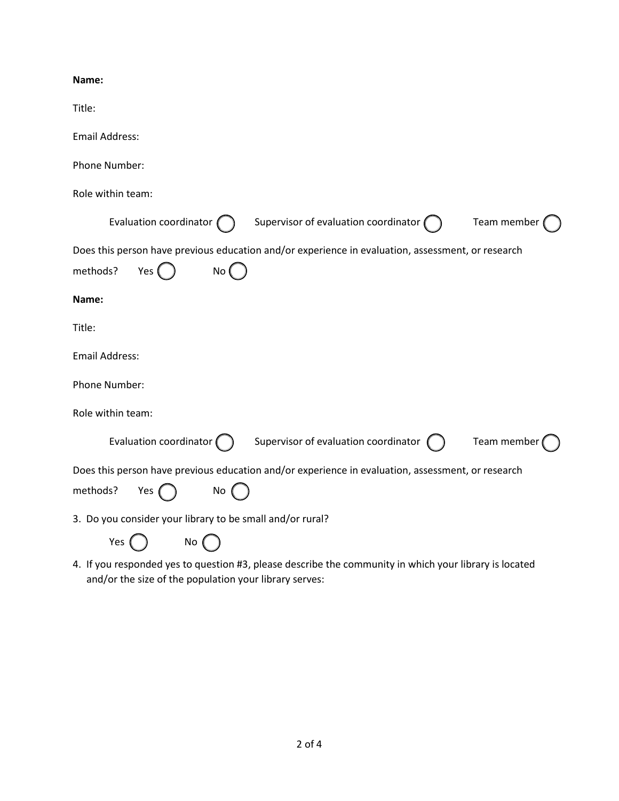## **Name:**

| Title:                                                                                                                         |  |  |  |
|--------------------------------------------------------------------------------------------------------------------------------|--|--|--|
| <b>Email Address:</b>                                                                                                          |  |  |  |
| Phone Number:                                                                                                                  |  |  |  |
| Role within team:                                                                                                              |  |  |  |
| Evaluation coordinator (<br>Supervisor of evaluation coordinator $\bigcap$<br>Team member                                      |  |  |  |
| Does this person have previous education and/or experience in evaluation, assessment, or research<br>methods?<br>Yes (<br>No ( |  |  |  |
| Name:                                                                                                                          |  |  |  |
| Title:                                                                                                                         |  |  |  |
| <b>Email Address:</b>                                                                                                          |  |  |  |
| Phone Number:                                                                                                                  |  |  |  |
| Role within team:                                                                                                              |  |  |  |
| Evaluation coordinator [<br>Supervisor of evaluation coordinator<br>Team member                                                |  |  |  |
| Does this person have previous education and/or experience in evaluation, assessment, or research<br>methods?<br>Yes (<br>No   |  |  |  |
| 3. Do you consider your library to be small and/or rural?                                                                      |  |  |  |
| Yes<br>No                                                                                                                      |  |  |  |

4. If you responded yes to question #3, please describe the community in which your library is located and/or the size of the population your library serves: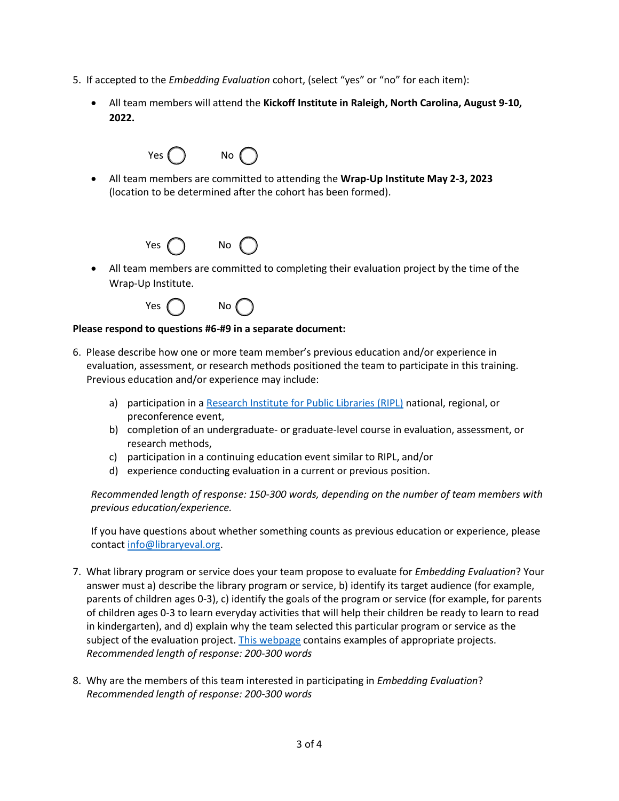- 5. If accepted to the *Embedding Evaluation* cohort, (select "yes" or "no" for each item):
	- All team members will attend the **Kickoff Institute in Raleigh, North Carolina, August 9-10, 2022.**

| Yes ( | No |  |
|-------|----|--|
|-------|----|--|

• All team members are committed to attending the **Wrap-Up Institute May 2-3, 2023**  (location to be determined after the cohort has been formed).



• All team members are committed to completing their evaluation project by the time of the Wrap-Up Institute.



## **Please respond to questions #6-#9 in a separate document:**

- 6. Please describe how one or more team member's previous education and/or experience in evaluation, assessment, or research methods positioned the team to participate in this training. Previous education and/or experience may include:
	- a) participation in a [Research Institute for Public Libraries \(RIPL\)](https://ripl.lrs.org/) national, regional, or preconference event,
	- b) completion of an undergraduate- or graduate-level course in evaluation, assessment, or research methods,
	- c) participation in a continuing education event similar to RIPL, and/or
	- d) experience conducting evaluation in a current or previous position.

*Recommended length of response: 150-300 words, depending on the number of team members with previous education/experience.*

If you have questions about whether something counts as previous education or experience, please contact [info@libraryeval.org.](mailto:info@libraryeval.org)

- 7. What library program or service does your team propose to evaluate for *Embedding Evaluation*? Your answer must a) describe the library program or service, b) identify its target audience (for example, parents of children ages 0-3), c) identify the goals of the program or service (for example, for parents of children ages 0-3 to learn everyday activities that will help their children be ready to learn to read in kindergarten), and d) explain why the team selected this particular program or service as the subject of the evaluation project. [This webpage](https://www.libraryeval.org/evaluation-project-examples/) contains examples of appropriate projects. *Recommended length of response: 200-300 words*
- 8. Why are the members of this team interested in participating in *Embedding Evaluation*? *Recommended length of response: 200-300 words*